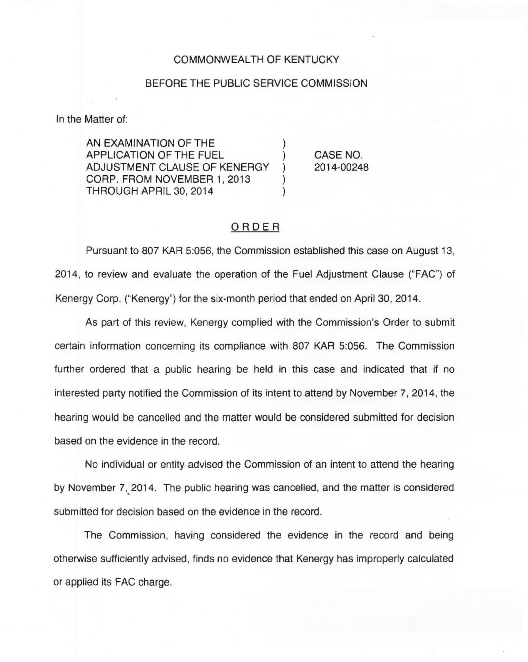## COMMONWEALTH OF KENTUCKY

## BEFORE THE PUBLIC SERVICE COMMISSION

In the Matter of:

AN EXAMINATION OF THE ) APPLICATION OF THE FUEL ) ADJUSTMENT CLAUSE OF KENERGY CORP. FROM NOVEMBER 1, 2013 ) THROUGH APRIL 30, 2014 )

CASE NO. 2014-00248

## ORDER

Pursuant to 807 KAR 5:056, the Commission established this case on August 13, 2014, to review and evaluate the operation of the Fuel Adjustment Clause ("FAC") of Kenergy Corp. ("Kenergy") for the six-month period that ended on April 30, 2014.

As part of this review, Kenergy complied with the Commission's Order to submit certain information concerning its compliance with 807 KAR 5:056. The Commission further ordered that a public hearing be held in this case and indicated that if no interested party notified the Commission of its intent to attend by November 7, 2014, the hearing would be cancelled and the matter would be considered submitted for decision based on the evidence in the record.

No individual or entity advised the Commission of an intent to attend the hearing by November 7, 2014. The public hearing was cancelled, and the matter is considered submitted for decision based on the evidence in the record.

The Commission, having considered the evidence in the record and being otherwise sufficiently advised, finds no evidence that Kenergy has improperly calculated or applied its FAC charge.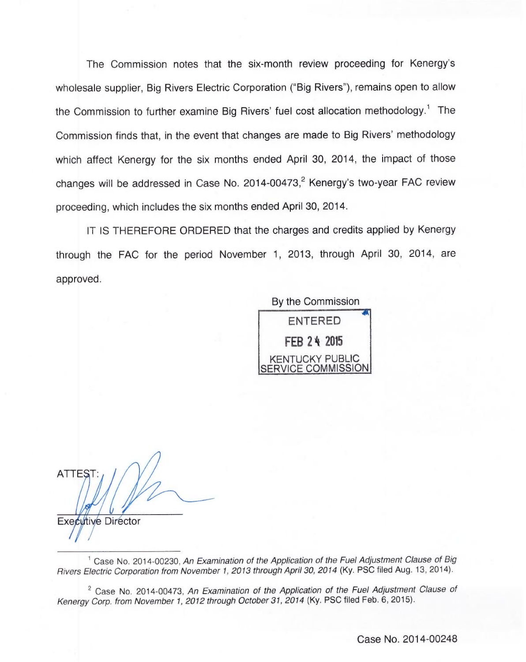The Commission notes that the six-month review proceeding for Kenergy's wholesale supplier, Big Rivers Electric Corporation ("Big Rivers"), remains open to allow the Commission to further examine Big Rivers' fuel cost allocation methodology.<sup>1</sup> The Commission finds that, in the event that changes are made to Big Rivers' methodology which affect Kenergy for the six months ended April 30, 2014, the impact of those changes will be addressed in Case No. 2014-00473,<sup>2</sup> Kenergy's two-year FAC review proceeding, which includes the six months ended April 30, 2014.

IT IS THEREFORE ORDERED that the charges and credits applied by Kenergy through the FAC for the period November 1, 2013, through April 30, 2014, are approved.

> By the Commission ENTERED FEB 2 4 2015 KENTUCKY PUBLIC SERVICE COMMISSION

**ATTEST** 

Executive Director

 $<sup>1</sup>$  Case No. 2014-00230, An Examination of the Application of the Fuel Adjustment Clause of Big</sup> Rivers Electric Corporation from November 1, 2013 through April 30, 2014 (Ky. PSC filed Aug. 13, 2014).

 $2^{\circ}$  Case No. 2014-00473, An Examination of the Application of the Fuel Adjustment Clause of Kenergy Corp. from November 1, 2012 through October 31, 2014 (Ky. PSC filed Feb. 6, 2015).

Case No. 2014-00248